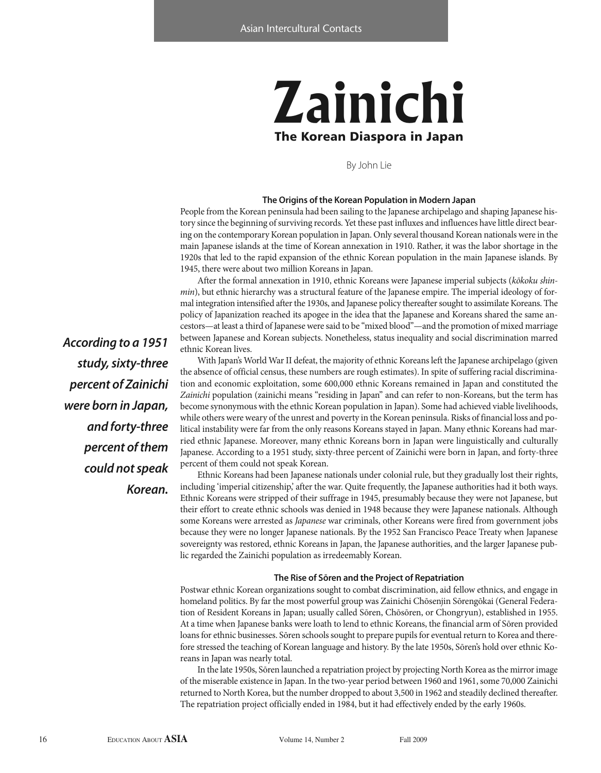# **Zainichi The Korean Diaspora in Japan**

By John Lie

## **The origins of the Korean Population in modern Japan**

People from the Korean peninsula had been sailing to the Japanese archipelago and shaping Japanese history since the beginning of surviving records. Yet these past influxes and influences have little direct bearing on the contemporary Korean population in Japan. Only several thousand Korean nationals were in the main Japanese islands at the time of Korean annexation in 1910. Rather, it was the labor shortage in the 1920s that led to the rapid expansion of the ethnic Korean population in the main Japanese islands. By 1945, there were about two million Koreans in Japan.

After the formal annexation in 1910, ethnic Koreans were Japanese imperial subjects (kōkoku shinmin), but ethnic hierarchy was a structural feature of the Japanese empire. The imperial ideology of formal integration intensified after the 1930s, and Japanese policy thereafter sought to assimilate Koreans. The policy of Japanization reached its apogee in the idea that the Japanese and Koreans shared the same ancestors—at least a third of Japanese were said to be "mixed blood"—and the promotion of mixed marriage between Japanese and Korean subjects. Nonetheless, status inequality and social discrimination marred ethnic Korean lives.

With Japan's World War II defeat, the majority of ethnic Koreans left the Japanese archipelago (given the absence of official census, these numbers are rough estimates). In spite of suffering racial discrimination and economic exploitation, some 600,000 ethnic Koreans remained in Japan and constituted the Zainichi population (zainichi means "residing in Japan" and can refer to non-Koreans, but the term has become synonymous with the ethnic Korean population in Japan). Some had achieved viable livelihoods, while others were weary of the unrest and poverty in the Korean peninsula. Risks of financial loss and political instability were far from the only reasons Koreans stayed in Japan. Many ethnic Koreans had married ethnic Japanese. Moreover, many ethnic Koreans born in Japan were linguistically and culturally Japanese. According to a 1951 study, sixty-three percent of Zainichi were born in Japan, and forty-three percent of them could not speak Korean.

Ethnic Koreans had been Japanese nationals under colonial rule, but they gradually lost their rights, including 'imperial citizenship,' after the war. Quite frequently, the Japanese authorities had it both ways. Ethnic Koreans were stripped of their suffrage in 1945, presumably because they were not Japanese, but their effort to create ethnic schools was denied in 1948 because they were Japanese nationals. Although some Koreans were arrested as Japanese war criminals, other Koreans were fired from government jobs because they were no longer Japanese nationals. By the 1952 San Francisco Peace Treaty when Japanese sovereignty was restored, ethnic Koreans in Japan, the Japanese authorities, and the larger Japanese public regarded the Zainichi population as irredeemably Korean.

### **The Rise of sōren and the Project of Repatriation**

Postwar ethnic Korean organizations sought to combat discrimination, aid fellow ethnics, and engage in homeland politics. By far the most powerful group was Zainichi Chōsenjin Sōrengōkai (General Federation of Resident Koreans in Japan; usually called Sōren, Chōsōren, or Chongryun), established in 1955. At a time when Japanese banks were loath to lend to ethnic Koreans, the financial arm of Sōren provided loans for ethnic businesses. Sōren schools sought to prepare pupils for eventual return to Korea and therefore stressed the teaching of Korean language and history. By the late 1950s, Sōren's hold over ethnic Koreans in Japan was nearly total.

In the late 1950s, Sōren launched a repatriation project by projecting North Korea as the mirror image of the miserable existence in Japan. In the two-year period between 1960 and 1961, some 70,000 Zainichi returned to North Korea, but the number dropped to about 3,500 in 1962 and steadily declined thereafter. The repatriation project officially ended in 1984, but it had effectively ended by the early 1960s.

*According to a 1951 study, sixty-three percent of Zainichi were born in Japan, and forty-three percent of them could not speak Korean.*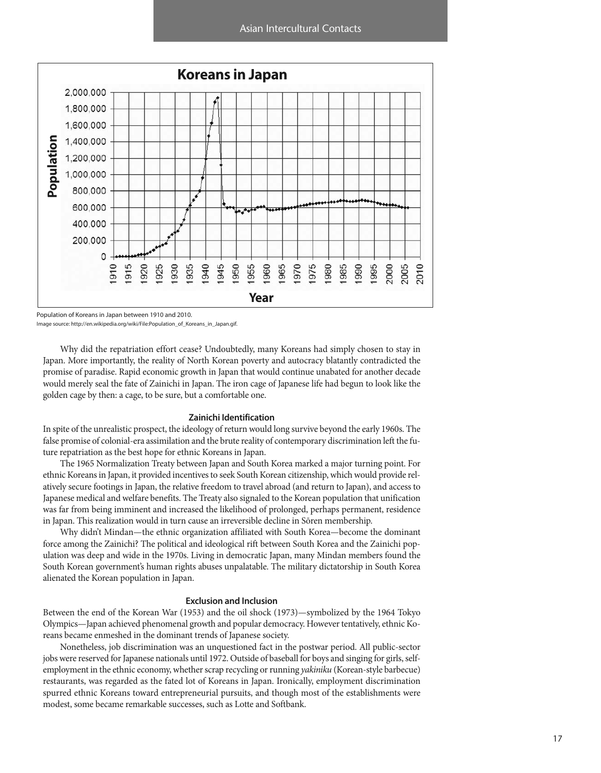

Population of Koreans in Japan between 1910 and 2010.

Image source: http://en.wikipedia.org/wiki/File:Population\_of\_Koreans\_in\_Japan.gif.

Why did the repatriation effort cease? Undoubtedly, many Koreans had simply chosen to stay in Japan. More importantly, the reality of North Korean poverty and autocracy blatantly contradicted the promise of paradise. Rapid economic growth in Japan that would continue unabated for another decade would merely seal the fate of Zainichi in Japan. The iron cage of Japanese life had begun to look like the golden cage by then: a cage, to be sure, but a comfortable one.

## **Zainichi Identification**

In spite of the unrealistic prospect, the ideology of return would long survive beyond the early 1960s. The false promise of colonial-era assimilation and the brute reality of contemporary discrimination left the future repatriation as the best hope for ethnic Koreans in Japan.

The 1965 Normalization Treaty between Japan and South Korea marked a major turning point. For ethnic Koreans in Japan, it provided incentives to seek South Korean citizenship, which would provide relatively secure footings in Japan, the relative freedom to travel abroad (and return to Japan), and access to Japanese medical and welfare benefits. The Treaty also signaled to the Korean population that unification was far from being imminent and increased the likelihood of prolonged, perhaps permanent, residence in Japan. This realization would in turn cause an irreversible decline in Sōren membership.

Why didn't Mindan—the ethnic organization affiliated with South Korea—become the dominant force among the Zainichi? The political and ideological rift between South Korea and the Zainichi population was deep and wide in the 1970s. Living in democratic Japan, many Mindan members found the South Korean government's human rights abuses unpalatable. The military dictatorship in South Korea alienated the Korean population in Japan.

## **Exclusion and Inclusion**

Between the end of the Korean War (1953) and the oil shock (1973)—symbolized by the 1964 Tokyo Olympics—Japan achieved phenomenal growth and popular democracy. However tentatively, ethnic Koreans became enmeshed in the dominant trends of Japanese society.

Nonetheless, job discrimination was an unquestioned fact in the postwar period. All public-sector jobs were reserved for Japanese nationals until 1972. Outside of baseball for boys and singing for girls, selfemployment in the ethnic economy, whether scrap recycling or running yakiniku (Korean-style barbecue) restaurants, was regarded as the fated lot of Koreans in Japan. Ironically, employment discrimination spurred ethnic Koreans toward entrepreneurial pursuits, and though most of the establishments were modest, some became remarkable successes, such as Lotte and Softbank.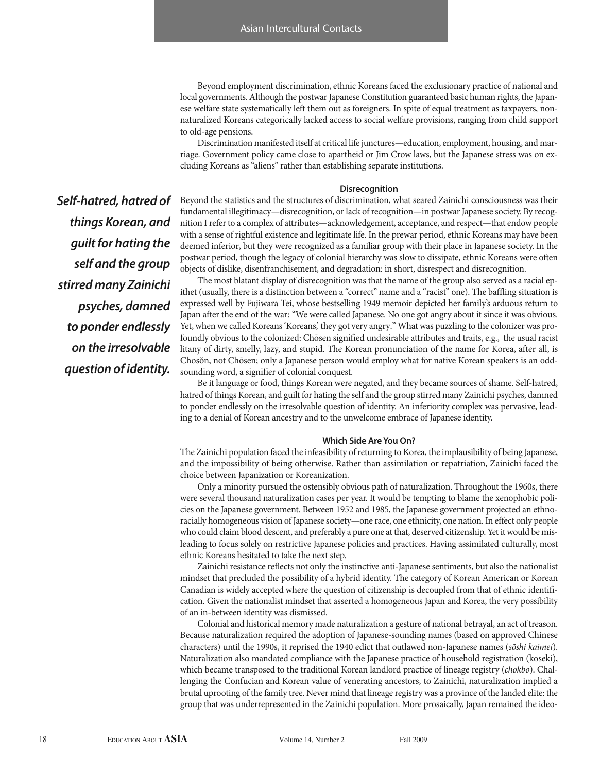Beyond employment discrimination, ethnic Koreans faced the exclusionary practice of national and local governments. Although the postwar Japanese Constitution guaranteed basic human rights, the Japanese welfare state systematically left them out as foreigners. In spite of equal treatment as taxpayers, nonnaturalized Koreans categorically lacked access to social welfare provisions, ranging from child support to old-age pensions.

Discrimination manifested itself at critical life junctures—education, employment, housing, and marriage. Government policy came close to apartheid or Jim Crow laws, but the Japanese stress was on excluding Koreans as "aliens" rather than establishing separate institutions.

### **Disrecognition**

*Self-hatred, hatred of things Korean, and guilt for hating the self and the group stirred many Zainichi psyches, damned to ponder endlessly on the irresolvable question of identity.*

Beyond the statistics and the structures of discrimination, what seared Zainichi consciousness was their fundamental illegitimacy—disrecognition, or lack of recognition—in postwar Japanese society. By recognition I refer to a complex of attributes—acknowledgement, acceptance, and respect—that endow people with a sense of rightful existence and legitimate life. In the prewar period, ethnic Koreans may have been deemed inferior, but they were recognized as a familiar group with their place in Japanese society. In the postwar period, though the legacy of colonial hierarchy was slow to dissipate, ethnic Koreans were often objects of dislike, disenfranchisement, and degradation: in short, disrespect and disrecognition.

The most blatant display of disrecognition was that the name of the group also served as a racial epithet (usually, there is a distinction between a "correct" name and a "racist" one). The baffling situation is expressed well by Fujiwara Tei, whose bestselling 1949 memoir depicted her family's arduous return to Japan after the end of the war: "We were called Japanese. No one got angry about it since it was obvious. Yet, when we called Koreans 'Koreans', they got very angry." What was puzzling to the colonizer was profoundly obvious to the colonized: Chōsen signified undesirable attributes and traits, e.g., the usual racist litany of dirty, smelly, lazy, and stupid. The Korean pronunciation of the name for Korea, after all, is Chosŏn, not Chōsen; only a Japanese person would employ what for native Korean speakers is an oddsounding word, a signifier of colonial conquest.

Be it language or food, things Korean were negated, and they became sources of shame. Self-hatred, hatred of things Korean, and guilt for hating the self and the group stirred many Zainichi psyches, damned to ponder endlessly on the irresolvable question of identity. An inferiority complex was pervasive, leading to a denial of Korean ancestry and to the unwelcome embrace of Japanese identity.

### **Which side are You on?**

The Zainichi population faced the infeasibility of returning to Korea, the implausibility of being Japanese, and the impossibility of being otherwise. Rather than assimilation or repatriation, Zainichi faced the choice between Japanization or Koreanization.

Only a minority pursued the ostensibly obvious path of naturalization. Throughout the 1960s, there were several thousand naturalization cases per year. It would be tempting to blame the xenophobic policies on the Japanese government. Between 1952 and 1985, the Japanese government projected an ethnoracially homogeneous vision of Japanese society—one race, one ethnicity, one nation. In effect only people who could claim blood descent, and preferably a pure one at that, deserved citizenship. Yet it would be misleading to focus solely on restrictive Japanese policies and practices. Having assimilated culturally, most ethnic Koreans hesitated to take the next step.

Zainichi resistance reflects not only the instinctive anti-Japanese sentiments, but also the nationalist mindset that precluded the possibility of a hybrid identity. The category of Korean American or Korean Canadian is widely accepted where the question of citizenship is decoupled from that of ethnic identification. Given the nationalist mindset that asserted a homogeneous Japan and Korea, the very possibility of an in-between identity was dismissed.

Colonial and historical memory made naturalization a gesture of national betrayal, an act of treason. Because naturalization required the adoption of Japanese-sounding names (based on approved Chinese characters) until the 1990s, it reprised the 1940 edict that outlawed non-Japanese names (sōshi kaimei). Naturalization also mandated compliance with the Japanese practice of household registration (koseki), which became transposed to the traditional Korean landlord practice of lineage registry (chokbo). Challenging the Confucian and Korean value of venerating ancestors, to Zainichi, naturalization implied a brutal uprooting of the family tree. Never mind that lineage registry was a province of the landed elite: the group that was underrepresented in the Zainichi population. More prosaically, Japan remained the ideo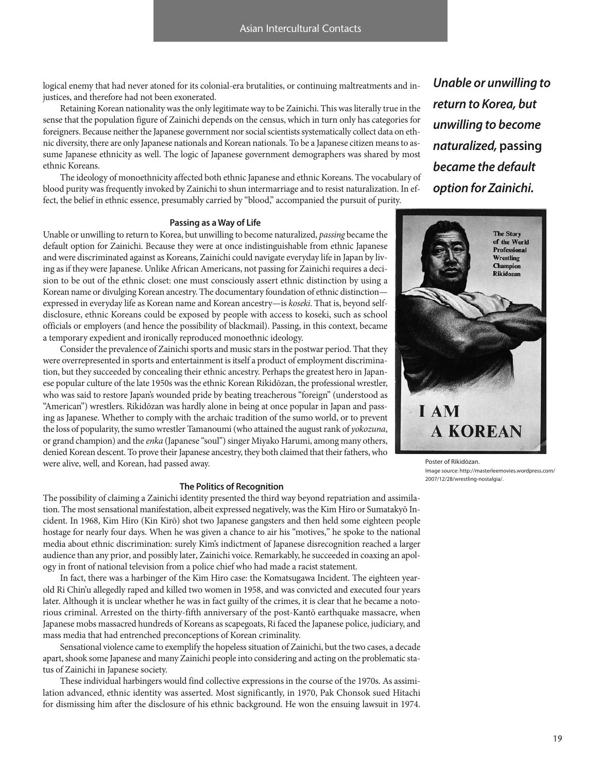logical enemy that had never atoned for its colonial-era brutalities, or continuing maltreatments and injustices, and therefore had not been exonerated.

Retaining Korean nationality was the only legitimate way to be Zainichi. This was literally true in the sense that the population figure of Zainichi depends on the census, which in turn only has categories for foreigners. Because neither the Japanese government nor social scientists systematically collect data on ethnic diversity, there are only Japanese nationals and Korean nationals. To be a Japanese citizen means to assume Japanese ethnicity as well. The logic of Japanese government demographers was shared by most ethnic Koreans.

The ideology of monoethnicity affected both ethnic Japanese and ethnic Koreans. The vocabulary of blood purity was frequently invoked by Zainichi to shun intermarriage and to resist naturalization. In effect, the belief in ethnic essence, presumably carried by "blood," accompanied the pursuit of purity.

*Unable or unwilling to return to Korea, but unwilling to become naturalized,* **passing** *became the default option for Zainichi.*

## **Passing as a Way of Life**

Unable or unwilling to return to Korea, but unwilling to become naturalized, passing became the default option for Zainichi. Because they were at once indistinguishable from ethnic Japanese and were discriminated against as Koreans, Zainichi could navigate everyday life in Japan by living as if they were Japanese. Unlike African Americans, not passing for Zainichi requires a decision to be out of the ethnic closet: one must consciously assert ethnic distinction by using a Korean name or divulging Korean ancestry. The documentary foundation of ethnic distinction expressed in everyday life as Korean name and Korean ancestry—is koseki. That is, beyond selfdisclosure, ethnic Koreans could be exposed by people with access to koseki, such as school officials or employers (and hence the possibility of blackmail). Passing, in this context, became a temporary expedient and ironically reproduced monoethnic ideology.

Consider the prevalence of Zainichi sports and music stars in the postwar period. That they were overrepresented in sports and entertainment is itself a product of employment discrimination, but they succeeded by concealing their ethnic ancestry. Perhaps the greatest hero in Japanese popular culture of the late 1950s was the ethnic Korean Rikidōzan, the professional wrestler, who was said to restore Japan's wounded pride by beating treacherous "foreign" (understood as "American") wrestlers. Rikidōzan was hardly alone in being at once popular in Japan and passing as Japanese. Whether to comply with the archaic tradition of the sumo world, or to prevent the loss of popularity, the sumo wrestler Tamanoumi (who attained the august rank of yokozuna, or grand champion) and the enka (Japanese "soul") singer Miyako Harumi, among many others, denied Korean descent. To prove their Japanese ancestry, they both claimed that their fathers, who were alive, well, and Korean, had passed away.

#### **The Politics of Recognition**

The possibility of claiming a Zainichi identity presented the third way beyond repatriation and assimilation. The most sensational manifestation, albeit expressed negatively, was the Kim Hiro or Sumatakyō Incident. In 1968, Kim Hiro (Kin Kirō) shot two Japanese gangsters and then held some eighteen people hostage for nearly four days. When he was given a chance to air his "motives," he spoke to the national media about ethnic discrimination: surely Kim's indictment of Japanese disrecognition reached a larger audience than any prior, and possibly later, Zainichi voice. Remarkably, he succeeded in coaxing an apology in front of national television from a police chief who had made a racist statement.

In fact, there was a harbinger of the Kim Hiro case: the Komatsugawa Incident. The eighteen yearold Ri Chin'u allegedly raped and killed two women in 1958, and was convicted and executed four years later. Although it is unclear whether he was in fact guilty of the crimes, it is clear that he became a notorious criminal. Arrested on the thirty-fifth anniversary of the post-Kantō earthquake massacre, when Japanese mobs massacred hundreds of Koreans as scapegoats, Ri faced the Japanese police, judiciary, and mass media that had entrenched preconceptions of Korean criminality.

Sensational violence came to exemplify the hopeless situation of Zainichi, but the two cases, a decade apart, shook some Japanese and many Zainichi people into considering and acting on the problematic status of Zainichi in Japanese society.

These individual harbingers would find collective expressions in the course of the 1970s. As assimilation advanced, ethnic identity was asserted. Most significantly, in 1970, Pak Chonsok sued Hitachi for dismissing him after the disclosure of his ethnic background. He won the ensuing lawsuit in 1974.



Poster of Rikidōzan. Image source: http://masterleemovies.wordpress.com/ 2007/12/28/wrestling-nostalgia/.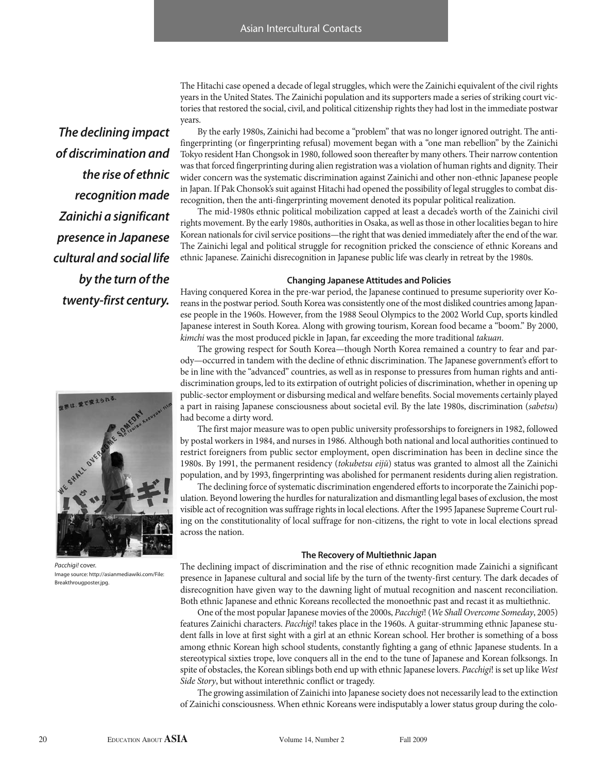*The declining impact of discrimination and the rise of ethnic recognition made Zainichi a significant presence in Japanese cultural and social life by the turn of the twenty-first century.*

The Hitachi case opened a decade of legal struggles, which were the Zainichi equivalent of the civil rights years in the United States. The Zainichi population and its supporters made a series of striking court victories that restored the social, civil, and political citizenship rights they had lost in the immediate postwar years.

By the early 1980s, Zainichi had become a "problem" that was no longer ignored outright. The antifingerprinting (or fingerprinting refusal) movement began with a "one man rebellion" by the Zainichi Tokyo resident Han Chongsok in 1980, followed soon thereafter by many others. Their narrow contention was that forced fingerprinting during alien registration was a violation of human rights and dignity. Their wider concern was the systematic discrimination against Zainichi and other non-ethnic Japanese people in Japan. If Pak Chonsok's suit against Hitachi had opened the possibility of legal struggles to combat disrecognition, then the anti-fingerprinting movement denoted its popular political realization.

The mid-1980s ethnic political mobilization capped at least a decade's worth of the Zainichi civil rights movement. By the early 1980s, authorities in Osaka, as well as those in other localities began to hire Korean nationals for civil service positions—the right that was denied immediately after the end of the war. The Zainichi legal and political struggle for recognition pricked the conscience of ethnic Koreans and ethnic Japanese. Zainichi disrecognition in Japanese public life was clearly in retreat by the 1980s.

### **Changing Japanese attitudes and Policies**

Having conquered Korea in the pre-war period, the Japanese continued to presume superiority over Koreans in the postwar period. South Korea was consistently one of the most disliked countries among Japanese people in the 1960s. However, from the 1988 Seoul Olympics to the 2002 World Cup, sports kindled Japanese interest in South Korea. Along with growing tourism, Korean food became a "boom." By 2000, kimchi was the most produced pickle in Japan, far exceeding the more traditional takuan.

The growing respect for South Korea—though North Korea remained a country to fear and parody—occurred in tandem with the decline of ethnic discrimination. The Japanese government's effort to be in line with the "advanced" countries, as well as in response to pressures from human rights and antidiscrimination groups, led to its extirpation of outright policies of discrimination, whether in opening up public-sector employment or disbursing medical and welfare benefits. Social movements certainly played a part in raising Japanese consciousness about societal evil. By the late 1980s, discrimination (sabetsu) had become a dirty word.

The first major measure was to open public university professorships to foreigners in 1982, followed by postal workers in 1984, and nurses in 1986. Although both national and local authorities continued to restrict foreigners from public sector employment, open discrimination has been in decline since the 1980s. By 1991, the permanent residency (tokubetsu eijū) status was granted to almost all the Zainichi population, and by 1993, fingerprinting was abolished for permanent residents during alien registration.

The declining force of systematic discrimination engendered efforts to incorporate the Zainichi population. Beyond lowering the hurdles for naturalization and dismantling legal bases of exclusion, the most visible act of recognition was suffrage rights in local elections. After the 1995 Japanese Supreme Court ruling on the constitutionality of local suffrage for non-citizens, the right to vote in local elections spread across the nation.

## **The Recovery of multiethnic Japan**

The declining impact of discrimination and the rise of ethnic recognition made Zainichi a significant presence in Japanese cultural and social life by the turn of the twenty-first century. The dark decades of disrecognition have given way to the dawning light of mutual recognition and nascent reconciliation. Both ethnic Japanese and ethnic Koreans recollected the monoethnic past and recast it as multiethnic.

One of the most popular Japanese movies of the 2000s, Pacchigi! (We Shall Overcome Someday, 2005) features Zainichi characters. Pacchigi! takes place in the 1960s. A guitar-strumming ethnic Japanese student falls in love at first sight with a girl at an ethnic Korean school. Her brother is something of a boss among ethnic Korean high school students, constantly fighting a gang of ethnic Japanese students. In a stereotypical sixties trope, love conquers all in the end to the tune of Japanese and Korean folksongs. In spite of obstacles, the Korean siblings both end up with ethnic Japanese lovers. Pacchigi! is set up like West Side Story, but without interethnic conflict or tragedy.

The growing assimilation of Zainichi into Japanese society does not necessarily lead to the extinction of Zainichi consciousness. When ethnic Koreans were indisputably a lower status group during the colo-



*Pacchigi!* cover. Image source: http://asianmediawiki.com/File: Breakthrougposter.jpg.